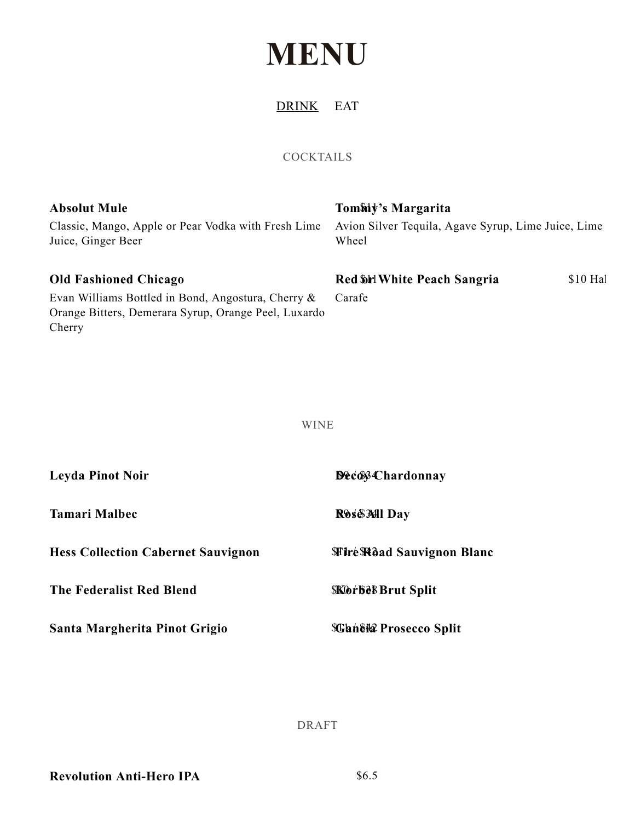## **MENU**

DRINK EAT

## COCKTAILS

| <b>Absolut Mule</b>                                                                                                  | Tommy's Margarita                                            |
|----------------------------------------------------------------------------------------------------------------------|--------------------------------------------------------------|
| Classic, Mango, Apple or Pear Vodka with Fresh Lime<br>Juice, Ginger Beer                                            | Avion Silver Tequila, Agave Syrup, Lime Juice, Lime<br>Wheel |
| <b>Old Fashioned Chicago</b>                                                                                         | Red Shel White Peach Sangria<br>$$10$ Ha                     |
| Evan Williams Bottled in Bond, Angostura, Cherry &<br>Orange Bitters, Demerara Syrup, Orange Peel, Luxardo<br>Cherry | Carafe                                                       |

WINE

| <b>Leyda Pinot Noir</b>                   | <b>Decov Chardonnay</b>          |
|-------------------------------------------|----------------------------------|
| <b>Tamari Malbec</b>                      | Rose MI Day                      |
| <b>Hess Collection Cabernet Sauvignon</b> | <b>Wire Road Sauvignon Blanc</b> |
| The Federalist Red Blend                  | <b>SKOrbel Brut Split</b>        |
| Santa Margherita Pinot Grigio             | <b>SGantia Prosecco Split</b>    |

DRAFT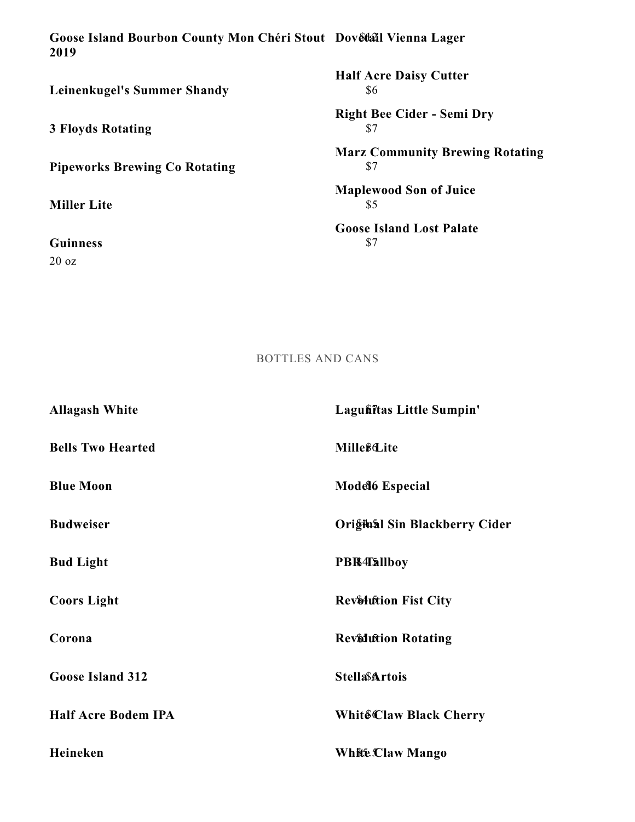\$12 **Goose Island Bourbon County Mon Chéri Stout Dovetail Vienna Lager 2019**

**Leinenkugel's Summer Shandy**

**3 Floyds Rotating**

**Pipeworks Brewing Co Rotating**

**Miller Lite**

**Guinness** 20 oz

\$6 **Half Acre Daisy Cutter**

\$7 **Right Bee Cider - Semi Dry**

\$7 **Marz Community Brewing Rotating**

\$5 **Maplewood Son of Juice**

\$7 **Goose Island Lost Palate**

BOTTLES AND CANS

| <b>Allagash White</b>      | Lagufiitas Little Sumpin'             |
|----------------------------|---------------------------------------|
| <b>Bells Two Hearted</b>   | <b>Mille</b> <sup>8</sup> <i>Lite</i> |
| <b>Blue Moon</b>           | <b>Model 6 Especial</b>               |
| <b>Budweiser</b>           | Orighaal Sin Blackberry Cider         |
| <b>Bud Light</b>           | <b>PBR4Tallboy</b>                    |
| <b>Coors Light</b>         | <b>Rev&amp;lution Fist City</b>       |
| Corona                     | <b>Revidition Rotating</b>            |
| <b>Goose Island 312</b>    | <b>StellaSArtois</b>                  |
| <b>Half Acre Bodem IPA</b> | Whit&Claw Black Cherry                |
| Heineken                   | White Claw Mango                      |